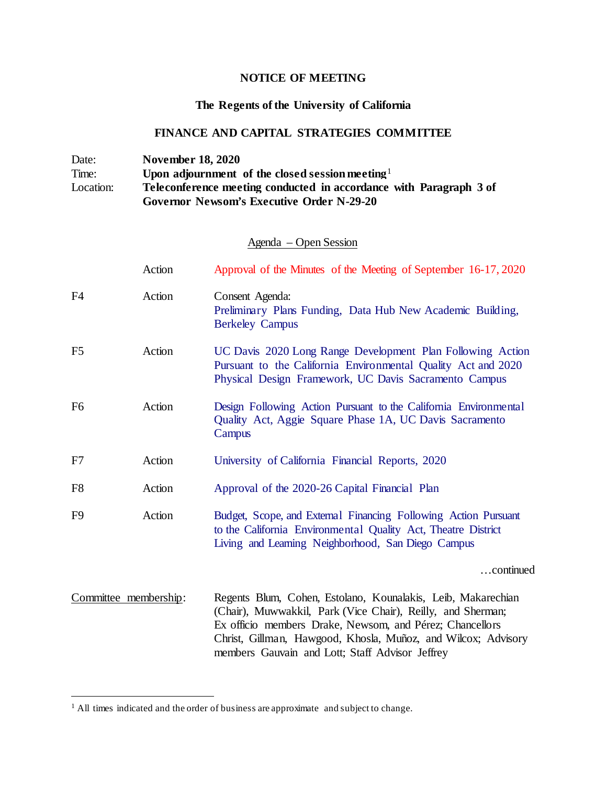## **NOTICE OF MEETING**

## **The Regents of the University of California**

## **FINANCE AND CAPITAL STRATEGIES COMMITTEE**

| Date:     | <b>November 18, 2020</b>                                           |
|-----------|--------------------------------------------------------------------|
| Time:     | Upon adjournment of the closed session meeting $\frac{1}{1}$       |
| Location: | Teleconference meeting conducted in accordance with Paragraph 3 of |
|           | <b>Governor Newsom's Executive Order N-29-20</b>                   |

## Agenda – Open Session

|                       | Action | Approval of the Minutes of the Meeting of September 16-17, 2020                                                                                                                                                                                                                                             |
|-----------------------|--------|-------------------------------------------------------------------------------------------------------------------------------------------------------------------------------------------------------------------------------------------------------------------------------------------------------------|
| F4                    | Action | Consent Agenda:<br>Preliminary Plans Funding, Data Hub New Academic Building,<br><b>Berkeley Campus</b>                                                                                                                                                                                                     |
| F <sub>5</sub>        | Action | UC Davis 2020 Long Range Development Plan Following Action<br>Pursuant to the California Environmental Quality Act and 2020<br>Physical Design Framework, UC Davis Sacramento Campus                                                                                                                        |
| F <sub>6</sub>        | Action | Design Following Action Pursuant to the California Environmental<br>Quality Act, Aggie Square Phase 1A, UC Davis Sacramento<br>Campus                                                                                                                                                                       |
| F7                    | Action | University of California Financial Reports, 2020                                                                                                                                                                                                                                                            |
| F <sub>8</sub>        | Action | Approval of the 2020-26 Capital Financial Plan                                                                                                                                                                                                                                                              |
| F <sub>9</sub>        | Action | Budget, Scope, and External Financing Following Action Pursuant<br>to the California Environmental Quality Act, Theatre District<br>Living and Learning Neighborhood, San Diego Campus                                                                                                                      |
|                       |        | continued                                                                                                                                                                                                                                                                                                   |
| Committee membership: |        | Regents Blum, Cohen, Estolano, Kounalakis, Leib, Makarechian<br>(Chair), Muwwakkil, Park (Vice Chair), Reilly, and Sherman;<br>Ex officio members Drake, Newsom, and Pérez; Chancellors<br>Christ, Gillman, Hawgood, Khosla, Muñoz, and Wilcox; Advisory<br>members Gauvain and Lott; Staff Advisor Jeffrey |

<span id="page-0-0"></span><sup>&</sup>lt;sup>1</sup> All times indicated and the order of business are approximate and subject to change.